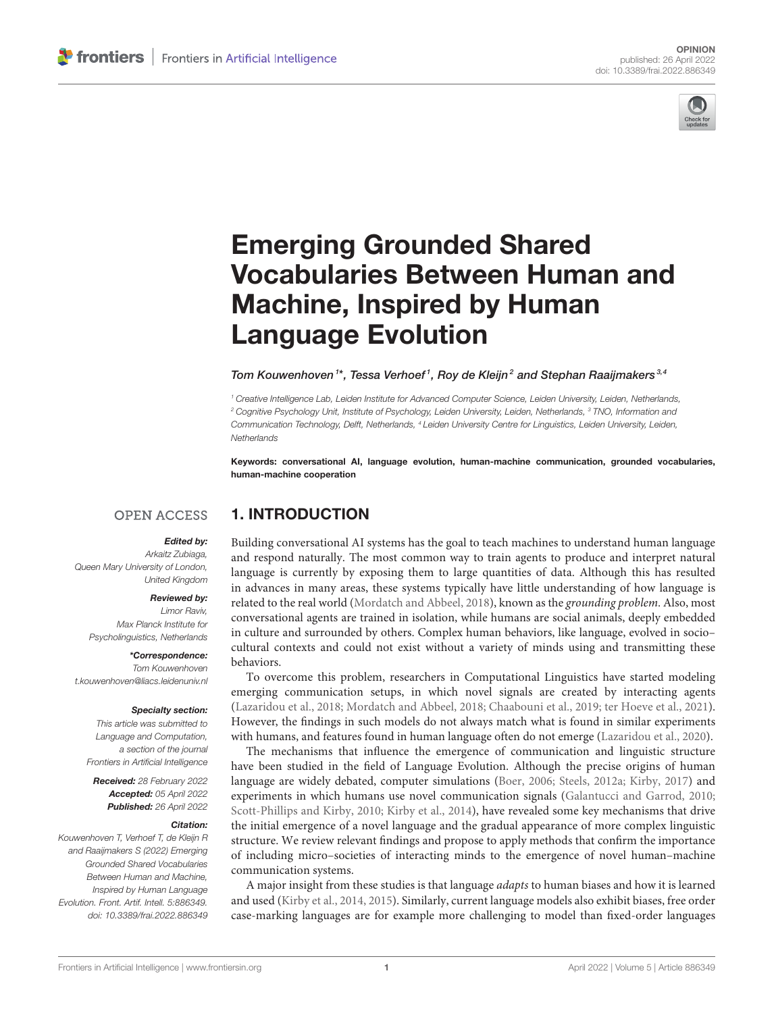

# Emerging Grounded Shared [Vocabularies Between Human and](https://www.frontiersin.org/articles/10.3389/frai.2022.886349/full) Machine, Inspired by Human Language Evolution

#### Tom Kouwenhoven<sup>1\*</sup>, Tessa Verhoef<sup>1</sup>, Roy de Kleijn<sup>2</sup> and Stephan Raaijmakers<sup>3,4</sup>

*<sup>1</sup> Creative Intelligence Lab, Leiden Institute for Advanced Computer Science, Leiden University, Leiden, Netherlands, <sup>2</sup> Cognitive Psychology Unit, Institute of Psychology, Leiden University, Leiden, Netherlands, <sup>3</sup> TNO, Information and Communication Technology, Delft, Netherlands, <sup>4</sup> Leiden University Centre for Linguistics, Leiden University, Leiden, Netherlands*

Keywords: conversational AI, language evolution, human-machine communication, grounded vocabularies, human-machine cooperation

### **OPEN ACCESS**

#### Edited by:

1. INTRODUCTION

*Arkaitz Zubiaga, Queen Mary University of London, United Kingdom*

#### Reviewed by:

*Limor Raviv, Max Planck Institute for Psycholinguistics, Netherlands*

\*Correspondence:

*Tom Kouwenhoven [t.kouwenhoven@liacs.leidenuniv.nl](mailto:t.kouwenhoven@liacs.leidenuniv.nl)*

#### Specialty section:

*This article was submitted to Language and Computation, a section of the journal Frontiers in Artificial Intelligence*

Received: *28 February 2022* Accepted: *05 April 2022* Published: *26 April 2022*

#### Citation:

*Kouwenhoven T, Verhoef T, de Kleijn R and Raaijmakers S (2022) Emerging Grounded Shared Vocabularies Between Human and Machine, Inspired by Human Language Evolution. Front. Artif. Intell. 5:886349. doi: [10.3389/frai.2022.886349](https://doi.org/10.3389/frai.2022.886349)*

Building conversational AI systems has the goal to teach machines to understand human language and respond naturally. The most common way to train agents to produce and interpret natural language is currently by exposing them to large quantities of data. Although this has resulted in advances in many areas, these systems typically have little understanding of how language is related to the real world [\(Mordatch and Abbeel, 2018\)](#page-3-0), known as the grounding problem. Also, most conversational agents are trained in isolation, while humans are social animals, deeply embedded in culture and surrounded by others. Complex human behaviors, like language, evolved in socio– cultural contexts and could not exist without a variety of minds using and transmitting these behaviors.

To overcome this problem, researchers in Computational Linguistics have started modeling emerging communication setups, in which novel signals are created by interacting agents [\(Lazaridou et al., 2018;](#page-3-1) [Mordatch and Abbeel, 2018;](#page-3-0) [Chaabouni](#page-3-2) et al., [2019;](#page-3-2) [ter Hoeve et al., 2021\)](#page-4-0). However, the findings in such models do not always match what is found in similar experiments with humans, and features found in human language often do not emerge [\(Lazaridou et al., 2020\)](#page-3-3).

The mechanisms that influence the emergence of communication and linguistic structure have been studied in the field of Language Evolution. Although the precise origins of human language are widely debated, computer simulations [\(Boer, 2006;](#page-3-4) [Steels, 2012a;](#page-4-1) [Kirby, 2017\)](#page-3-5) and experiments in which humans use novel communication signals [\(Galantucci and Garrod, 2010;](#page-3-6) [Scott-Phillips and Kirby, 2010;](#page-3-7) [Kirby et al., 2014\)](#page-3-8), have revealed some key mechanisms that drive the initial emergence of a novel language and the gradual appearance of more complex linguistic structure. We review relevant findings and propose to apply methods that confirm the importance of including micro–societies of interacting minds to the emergence of novel human–machine communication systems.

A major insight from these studies is that language adapts to human biases and how it is learned and used [\(Kirby et al., 2014,](#page-3-8) [2015\)](#page-3-9). Similarly, current language models also exhibit biases, free order case-marking languages are for example more challenging to model than fixed-order languages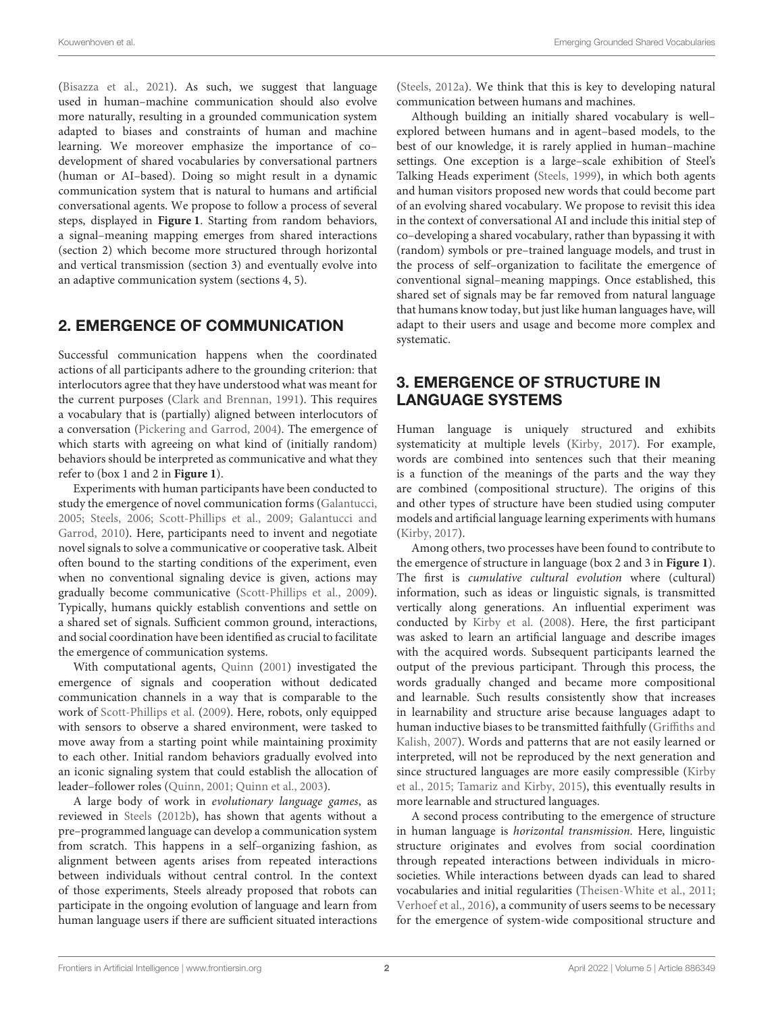[\(Bisazza et al., 2021\)](#page-3-10). As such, we suggest that language used in human–machine communication should also evolve more naturally, resulting in a grounded communication system adapted to biases and constraints of human and machine learning. We moreover emphasize the importance of co– development of shared vocabularies by conversational partners (human or AI–based). Doing so might result in a dynamic communication system that is natural to humans and artificial conversational agents. We propose to follow a process of several steps, displayed in **[Figure 1](#page-2-0)**. Starting from random behaviors, a signal–meaning mapping emerges from shared interactions (section [2\)](#page-1-0) which become more structured through horizontal and vertical transmission (section [3\)](#page-1-1) and eventually evolve into an adaptive communication system (sections [4,](#page-2-1) [5\)](#page-3-11).

### <span id="page-1-0"></span>2. EMERGENCE OF COMMUNICATION

Successful communication happens when the coordinated actions of all participants adhere to the grounding criterion: that interlocutors agree that they have understood what was meant for the current purposes [\(Clark and Brennan, 1991\)](#page-3-12). This requires a vocabulary that is (partially) aligned between interlocutors of a conversation [\(Pickering and Garrod, 2004\)](#page-3-13). The emergence of which starts with agreeing on what kind of (initially random) behaviors should be interpreted as communicative and what they refer to (box 1 and 2 in **[Figure 1](#page-2-0)**).

Experiments with human participants have been conducted to study the emergence of novel communication forms [\(Galantucci,](#page-3-14) [2005;](#page-3-14) [Steels, 2006;](#page-4-2) [Scott-Phillips et al., 2009;](#page-3-15) Galantucci and Garrod, [2010\)](#page-3-6). Here, participants need to invent and negotiate novel signals to solve a communicative or cooperative task. Albeit often bound to the starting conditions of the experiment, even when no conventional signaling device is given, actions may gradually become communicative [\(Scott-Phillips et al., 2009\)](#page-3-15). Typically, humans quickly establish conventions and settle on a shared set of signals. Sufficient common ground, interactions, and social coordination have been identified as crucial to facilitate the emergence of communication systems.

With computational agents, [Quinn](#page-3-16) [\(2001\)](#page-3-16) investigated the emergence of signals and cooperation without dedicated communication channels in a way that is comparable to the work of [Scott-Phillips et al.](#page-3-15) [\(2009\)](#page-3-15). Here, robots, only equipped with sensors to observe a shared environment, were tasked to move away from a starting point while maintaining proximity to each other. Initial random behaviors gradually evolved into an iconic signaling system that could establish the allocation of leader–follower roles [\(Quinn, 2001;](#page-3-16) [Quinn et al., 2003\)](#page-3-17).

A large body of work in evolutionary language games, as reviewed in [Steels](#page-4-3) [\(2012b\)](#page-4-3), has shown that agents without a pre–programmed language can develop a communication system from scratch. This happens in a self–organizing fashion, as alignment between agents arises from repeated interactions between individuals without central control. In the context of those experiments, Steels already proposed that robots can participate in the ongoing evolution of language and learn from human language users if there are sufficient situated interactions [\(Steels, 2012a\)](#page-4-1). We think that this is key to developing natural communication between humans and machines.

Although building an initially shared vocabulary is well– explored between humans and in agent–based models, to the best of our knowledge, it is rarely applied in human–machine settings. One exception is a large–scale exhibition of Steel's Talking Heads experiment [\(Steels, 1999\)](#page-4-4), in which both agents and human visitors proposed new words that could become part of an evolving shared vocabulary. We propose to revisit this idea in the context of conversational AI and include this initial step of co–developing a shared vocabulary, rather than bypassing it with (random) symbols or pre–trained language models, and trust in the process of self–organization to facilitate the emergence of conventional signal–meaning mappings. Once established, this shared set of signals may be far removed from natural language that humans know today, but just like human languages have, will adapt to their users and usage and become more complex and systematic.

## <span id="page-1-1"></span>3. EMERGENCE OF STRUCTURE IN LANGUAGE SYSTEMS

Human language is uniquely structured and exhibits systematicity at multiple levels [\(Kirby, 2017\)](#page-3-5). For example, words are combined into sentences such that their meaning is a function of the meanings of the parts and the way they are combined (compositional structure). The origins of this and other types of structure have been studied using computer models and artificial language learning experiments with humans [\(Kirby, 2017\)](#page-3-5).

Among others, two processes have been found to contribute to the emergence of structure in language (box 2 and 3 in **[Figure 1](#page-2-0)**). The first is cumulative cultural evolution where (cultural) information, such as ideas or linguistic signals, is transmitted vertically along generations. An influential experiment was conducted by [Kirby et al.](#page-3-18) [\(2008\)](#page-3-18). Here, the first participant was asked to learn an artificial language and describe images with the acquired words. Subsequent participants learned the output of the previous participant. Through this process, the words gradually changed and became more compositional and learnable. Such results consistently show that increases in learnability and structure arise because languages adapt to human inductive biases to be transmitted faithfully (Griffiths and Kalish, [2007\)](#page-3-19). Words and patterns that are not easily learned or interpreted, will not be reproduced by the next generation and since structured languages are more easily compressible (Kirby et al., [2015;](#page-3-9) [Tamariz and Kirby, 2015\)](#page-4-5), this eventually results in more learnable and structured languages.

A second process contributing to the emergence of structure in human language is horizontal transmission. Here, linguistic structure originates and evolves from social coordination through repeated interactions between individuals in microsocieties. While interactions between dyads can lead to shared vocabularies and initial regularities [\(Theisen-White et al., 2011;](#page-4-6) [Verhoef et al., 2016\)](#page-4-7), a community of users seems to be necessary for the emergence of system-wide compositional structure and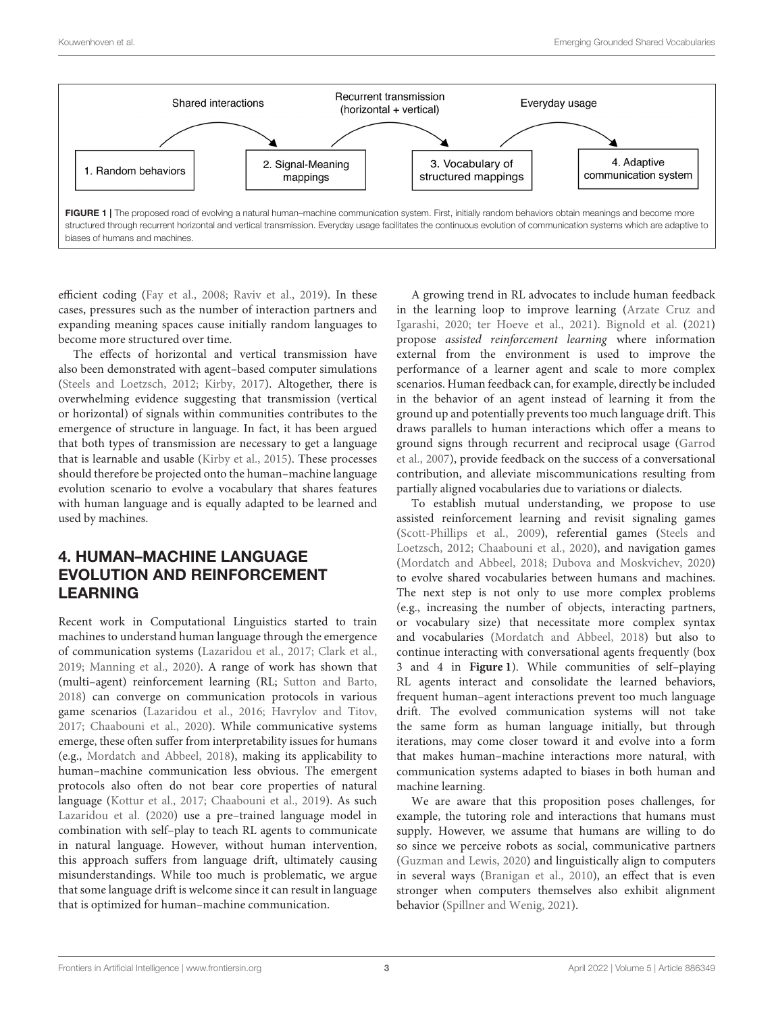

<span id="page-2-0"></span>efficient coding [\(Fay et al., 2008;](#page-3-20) [Raviv et al., 2019\)](#page-3-21). In these cases, pressures such as the number of interaction partners and expanding meaning spaces cause initially random languages to become more structured over time.

The effects of horizontal and vertical transmission have also been demonstrated with agent–based computer simulations [\(Steels and Loetzsch, 2012;](#page-4-8) [Kirby, 2017\)](#page-3-5). Altogether, there is overwhelming evidence suggesting that transmission (vertical or horizontal) of signals within communities contributes to the emergence of structure in language. In fact, it has been argued that both types of transmission are necessary to get a language that is learnable and usable [\(Kirby et al., 2015\)](#page-3-9). These processes should therefore be projected onto the human–machine language evolution scenario to evolve a vocabulary that shares features with human language and is equally adapted to be learned and used by machines.

### <span id="page-2-1"></span>4. HUMAN–MACHINE LANGUAGE EVOLUTION AND REINFORCEMENT LEARNING

Recent work in Computational Linguistics started to train machines to understand human language through the emergence of communication systems [\(Lazaridou et al., 2017;](#page-3-22) [Clark et al.,](#page-3-23) [2019;](#page-3-23) [Manning et al., 2020\)](#page-3-24). A range of work has shown that (multi–agent) reinforcement learning (RL; [Sutton and Barto,](#page-4-9) [2018\)](#page-4-9) can converge on communication protocols in various game scenarios [\(Lazaridou et al., 2016;](#page-3-25) [Havrylov and Titov,](#page-3-26) [2017;](#page-3-26) [Chaabouni et al., 2020\)](#page-3-27). While communicative systems emerge, these often suffer from interpretability issues for humans (e.g., [Mordatch and Abbeel, 2018\)](#page-3-0), making its applicability to human–machine communication less obvious. The emergent protocols also often do not bear core properties of natural language [\(Kottur et al., 2017;](#page-3-28) [Chaabouni et al., 2019\)](#page-3-2). As such [Lazaridou et al.](#page-3-3) [\(2020\)](#page-3-3) use a pre–trained language model in combination with self–play to teach RL agents to communicate in natural language. However, without human intervention, this approach suffers from language drift, ultimately causing misunderstandings. While too much is problematic, we argue that some language drift is welcome since it can result in language that is optimized for human–machine communication.

A growing trend in RL advocates to include human feedback in the learning loop to improve learning (Arzate Cruz and Igarashi, [2020;](#page-3-29) [ter Hoeve et al., 2021\)](#page-4-0). [Bignold et al.](#page-3-30) [\(2021\)](#page-3-30) propose assisted reinforcement learning where information external from the environment is used to improve the performance of a learner agent and scale to more complex scenarios. Human feedback can, for example, directly be included in the behavior of an agent instead of learning it from the ground up and potentially prevents too much language drift. This draws parallels to human interactions which offer a means to ground signs through recurrent and reciprocal usage (Garrod et al., [2007\)](#page-3-31), provide feedback on the success of a conversational contribution, and alleviate miscommunications resulting from partially aligned vocabularies due to variations or dialects.

To establish mutual understanding, we propose to use assisted reinforcement learning and revisit signaling games [\(Scott-Phillips et al., 2009\)](#page-3-15), referential games (Steels and Loetzsch, [2012;](#page-4-8) [Chaabouni et al., 2020\)](#page-3-27), and navigation games [\(Mordatch and Abbeel, 2018;](#page-3-0) [Dubova and Moskvichev, 2020\)](#page-3-32) to evolve shared vocabularies between humans and machines. The next step is not only to use more complex problems (e.g., increasing the number of objects, interacting partners, or vocabulary size) that necessitate more complex syntax and vocabularies [\(Mordatch and Abbeel, 2018\)](#page-3-0) but also to continue interacting with conversational agents frequently (box 3 and 4 in **[Figure 1](#page-2-0)**). While communities of self–playing RL agents interact and consolidate the learned behaviors, frequent human–agent interactions prevent too much language drift. The evolved communication systems will not take the same form as human language initially, but through iterations, may come closer toward it and evolve into a form that makes human–machine interactions more natural, with communication systems adapted to biases in both human and machine learning.

We are aware that this proposition poses challenges, for example, the tutoring role and interactions that humans must supply. However, we assume that humans are willing to do so since we perceive robots as social, communicative partners [\(Guzman and Lewis, 2020\)](#page-3-33) and linguistically align to computers in several ways [\(Branigan et al., 2010\)](#page-3-34), an effect that is even stronger when computers themselves also exhibit alignment behavior [\(Spillner and Wenig, 2021\)](#page-3-35).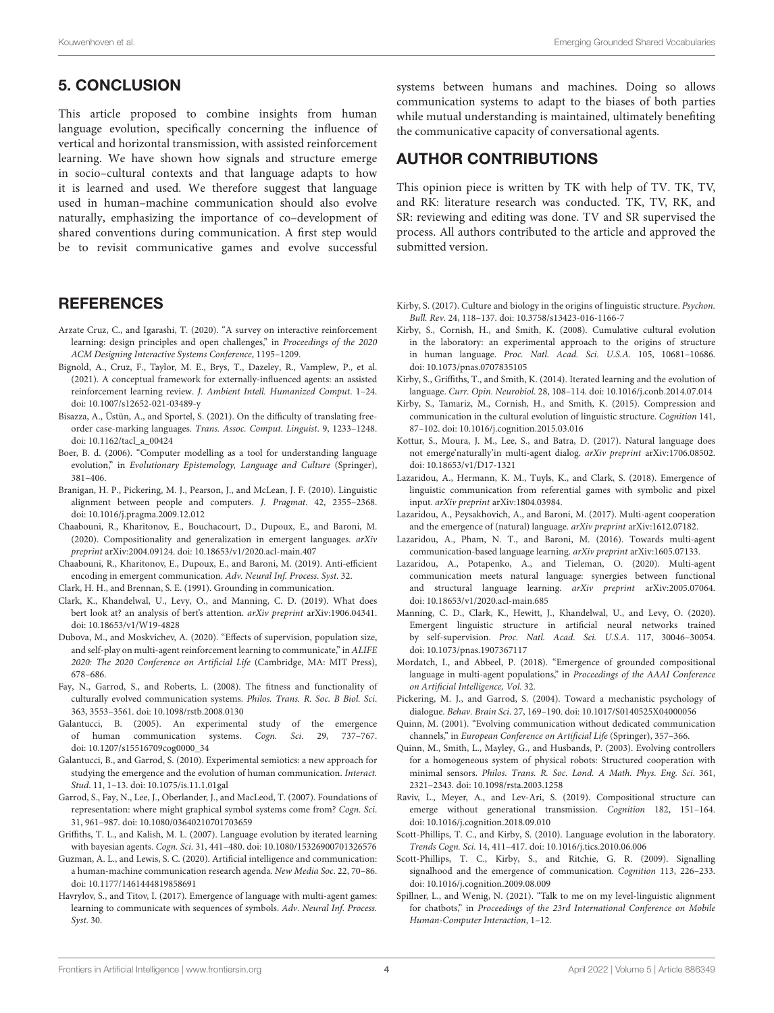# <span id="page-3-11"></span>5. CONCLUSION

This article proposed to combine insights from human language evolution, specifically concerning the influence of vertical and horizontal transmission, with assisted reinforcement learning. We have shown how signals and structure emerge in socio–cultural contexts and that language adapts to how it is learned and used. We therefore suggest that language used in human–machine communication should also evolve naturally, emphasizing the importance of co–development of shared conventions during communication. A first step would be to revisit communicative games and evolve successful

### **REFERENCES**

- <span id="page-3-29"></span>Arzate Cruz, C., and Igarashi, T. (2020). "A survey on interactive reinforcement learning: design principles and open challenges," in Proceedings of the 2020 ACM Designing Interactive Systems Conference, 1195–1209.
- <span id="page-3-30"></span>Bignold, A., Cruz, F., Taylor, M. E., Brys, T., Dazeley, R., Vamplew, P., et al. (2021). A conceptual framework for externally-influenced agents: an assisted reinforcement learning review. J. Ambient Intell. Humanized Comput. 1–24. doi: [10.1007/s12652-021-03489-y](https://doi.org/10.1007/s12652-021-03489-y)
- <span id="page-3-10"></span>Bisazza, A., Üstün, A., and Sportel, S. (2021). On the difficulty of translating freeorder case-marking languages. Trans. Assoc. Comput. Linguist. 9, 1233–1248. doi: [10.1162/tacl\\_a\\_00424](https://doi.org/10.1162/tacl_a_00424)
- <span id="page-3-4"></span>Boer, B. d. (2006). "Computer modelling as a tool for understanding language evolution," in Evolutionary Epistemology, Language and Culture (Springer), 381–406.
- <span id="page-3-34"></span>Branigan, H. P., Pickering, M. J., Pearson, J., and McLean, J. F. (2010). Linguistic alignment between people and computers. J. Pragmat. 42, 2355–2368. doi: [10.1016/j.pragma.2009.12.012](https://doi.org/10.1016/j.pragma.2009.12.012)
- <span id="page-3-27"></span>Chaabouni, R., Kharitonov, E., Bouchacourt, D., Dupoux, E., and Baroni, M. (2020). Compositionality and generalization in emergent languages. arXiv preprint arXiv:2004.09124. doi: [10.18653/v1/2020.acl-main.407](https://doi.org/10.18653/v1/2020.acl-main.407)
- <span id="page-3-2"></span>Chaabouni, R., Kharitonov, E., Dupoux, E., and Baroni, M. (2019). Anti-efficient encoding in emergent communication. Adv. Neural Inf. Process. Syst. 32.
- <span id="page-3-12"></span>Clark, H. H., and Brennan, S. E. (1991). Grounding in communication.
- <span id="page-3-23"></span>Clark, K., Khandelwal, U., Levy, O., and Manning, C. D. (2019). What does bert look at? an analysis of bert's attention. arXiv preprint arXiv:1906.04341. doi: [10.18653/v1/W19-4828](https://doi.org/10.18653/v1/W19-4828)
- <span id="page-3-32"></span>Dubova, M., and Moskvichev, A. (2020). "Effects of supervision, population size, and self-play on multi-agent reinforcement learning to communicate," in ALIFE 2020: The 2020 Conference on Artificial Life (Cambridge, MA: MIT Press), 678–686.
- <span id="page-3-20"></span>Fay, N., Garrod, S., and Roberts, L. (2008). The fitness and functionality of culturally evolved communication systems. Philos. Trans. R. Soc. B Biol. Sci. 363, 3553–3561. doi: [10.1098/rstb.2008.0130](https://doi.org/10.1098/rstb.2008.0130)
- <span id="page-3-14"></span>Galantucci, B. (2005). An experimental study of the emergence of human communication systems. Cogn. Sci. 29, 737–767. doi: [10.1207/s15516709cog0000\\_34](https://doi.org/10.1207/s15516709cog0000_34)
- <span id="page-3-6"></span>Galantucci, B., and Garrod, S. (2010). Experimental semiotics: a new approach for studying the emergence and the evolution of human communication. Interact. Stud. 11, 1–13. doi: [10.1075/is.11.1.01gal](https://doi.org/10.1075/is.11.1.01gal)
- <span id="page-3-31"></span>Garrod, S., Fay, N., Lee, J., Oberlander, J., and MacLeod, T. (2007). Foundations of representation: where might graphical symbol systems come from? Cogn. Sci. 31, 961–987. doi: [10.1080/03640210701703659](https://doi.org/10.1080/03640210701703659)
- <span id="page-3-19"></span>Griffiths, T. L., and Kalish, M. L. (2007). Language evolution by iterated learning with bayesian agents. Cogn. Sci. 31, 441–480. doi: [10.1080/15326900701326576](https://doi.org/10.1080/15326900701326576)
- <span id="page-3-33"></span>Guzman, A. L., and Lewis, S. C. (2020). Artificial intelligence and communication: a human-machine communication research agenda. New Media Soc. 22, 70–86. doi: [10.1177/1461444819858691](https://doi.org/10.1177/1461444819858691)
- <span id="page-3-26"></span>Havrylov, S., and Titov, I. (2017). Emergence of language with multi-agent games: learning to communicate with sequences of symbols. Adv. Neural Inf. Process. Syst. 30.

systems between humans and machines. Doing so allows communication systems to adapt to the biases of both parties while mutual understanding is maintained, ultimately benefiting the communicative capacity of conversational agents.

### AUTHOR CONTRIBUTIONS

This opinion piece is written by TK with help of TV. TK, TV, and RK: literature research was conducted. TK, TV, RK, and SR: reviewing and editing was done. TV and SR supervised the process. All authors contributed to the article and approved the submitted version.

- <span id="page-3-5"></span>Kirby, S. (2017). Culture and biology in the origins of linguistic structure. Psychon. Bull. Rev. 24, 118–137. doi: [10.3758/s13423-016-1166-7](https://doi.org/10.3758/s13423-016-1166-7)
- <span id="page-3-18"></span>Kirby, S., Cornish, H., and Smith, K. (2008). Cumulative cultural evolution in the laboratory: an experimental approach to the origins of structure in human language. Proc. Natl. Acad. Sci. U.S.A. 105, 10681–10686. doi: [10.1073/pnas.0707835105](https://doi.org/10.1073/pnas.0707835105)
- <span id="page-3-8"></span>Kirby, S., Griffiths, T., and Smith, K. (2014). Iterated learning and the evolution of language. Curr. Opin. Neurobiol. 28, 108–114. doi: [10.1016/j.conb.2014.07.014](https://doi.org/10.1016/j.conb.2014.07.014)
- <span id="page-3-9"></span>Kirby, S., Tamariz, M., Cornish, H., and Smith, K. (2015). Compression and communication in the cultural evolution of linguistic structure. Cognition 141, 87–102. doi: [10.1016/j.cognition.2015.03.016](https://doi.org/10.1016/j.cognition.2015.03.016)
- <span id="page-3-28"></span>Kottur, S., Moura, J. M., Lee, S., and Batra, D. (2017). Natural language does not emerge'naturally'in multi-agent dialog. arXiv preprint arXiv:1706.08502. doi: [10.18653/v1/D17-1321](https://doi.org/10.18653/v1/D17-1321)
- <span id="page-3-1"></span>Lazaridou, A., Hermann, K. M., Tuyls, K., and Clark, S. (2018). Emergence of linguistic communication from referential games with symbolic and pixel input. arXiv preprint arXiv:1804.03984.
- <span id="page-3-22"></span>Lazaridou, A., Peysakhovich, A., and Baroni, M. (2017). Multi-agent cooperation and the emergence of (natural) language. arXiv preprint arXiv:1612.07182.
- <span id="page-3-25"></span>Lazaridou, A., Pham, N. T., and Baroni, M. (2016). Towards multi-agent communication-based language learning. arXiv preprint arXiv:1605.07133.
- <span id="page-3-3"></span>Lazaridou, A., Potapenko, A., and Tieleman, O. (2020). Multi-agent communication meets natural language: synergies between functional and structural language learning. arXiv preprint arXiv:2005.07064. doi: [10.18653/v1/2020.acl-main.685](https://doi.org/10.18653/v1/2020.acl-main.685)
- <span id="page-3-24"></span>Manning, C. D., Clark, K., Hewitt, J., Khandelwal, U., and Levy, O. (2020). Emergent linguistic structure in artificial neural networks trained by self-supervision. Proc. Natl. Acad. Sci. U.S.A. 117, 30046–30054. doi: [10.1073/pnas.1907367117](https://doi.org/10.1073/pnas.1907367117)
- <span id="page-3-0"></span>Mordatch, I., and Abbeel, P. (2018). "Emergence of grounded compositional language in multi-agent populations," in Proceedings of the AAAI Conference on Artificial Intelligence, Vol. 32.
- <span id="page-3-13"></span>Pickering, M. J., and Garrod, S. (2004). Toward a mechanistic psychology of dialogue. Behav. Brain Sci. 27, 169–190. doi: [10.1017/S0140525X04000056](https://doi.org/10.1017/S0140525X04000056)
- <span id="page-3-16"></span>Quinn, M. (2001). "Evolving communication without dedicated communication channels," in European Conference on Artificial Life (Springer), 357–366.
- <span id="page-3-17"></span>Quinn, M., Smith, L., Mayley, G., and Husbands, P. (2003). Evolving controllers for a homogeneous system of physical robots: Structured cooperation with minimal sensors. Philos. Trans. R. Soc. Lond. A Math. Phys. Eng. Sci. 361, 2321–2343. doi: [10.1098/rsta.2003.1258](https://doi.org/10.1098/rsta.2003.1258)
- <span id="page-3-21"></span>Raviv, L., Meyer, A., and Lev-Ari, S. (2019). Compositional structure can emerge without generational transmission. Cognition 182, 151–164. doi: [10.1016/j.cognition.2018.09.010](https://doi.org/10.1016/j.cognition.2018.09.010)
- <span id="page-3-7"></span>Scott-Phillips, T. C., and Kirby, S. (2010). Language evolution in the laboratory. Trends Cogn. Sci. 14, 411–417. doi: [10.1016/j.tics.2010.06.006](https://doi.org/10.1016/j.tics.2010.06.006)
- <span id="page-3-15"></span>Scott-Phillips, T. C., Kirby, S., and Ritchie, G. R. (2009). Signalling signalhood and the emergence of communication. Cognition 113, 226–233. doi: [10.1016/j.cognition.2009.08.009](https://doi.org/10.1016/j.cognition.2009.08.009)
- <span id="page-3-35"></span>Spillner, L., and Wenig, N. (2021). "Talk to me on my level-linguistic alignment for chatbots," in Proceedings of the 23rd International Conference on Mobile Human-Computer Interaction, 1–12.